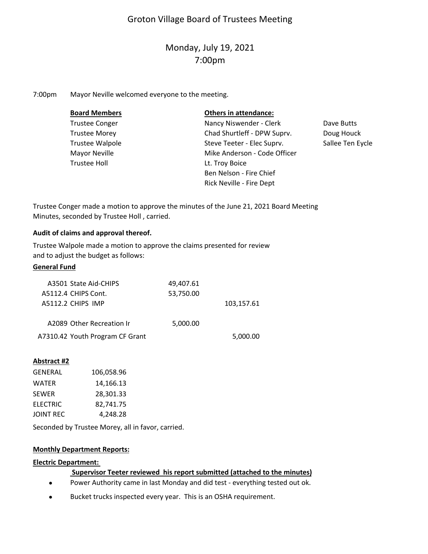# Groton Village Board of Trustees Meeting

# Monday, July 19, 2021 7:00pm

7:00pm Mayor Neville welcomed everyone to the meeting.

| <b>Board Members</b>  | <b>Others in attendance:</b> |                  |
|-----------------------|------------------------------|------------------|
| <b>Trustee Conger</b> | Nancy Niswender - Clerk      | Dave Butts       |
| <b>Trustee Morey</b>  | Chad Shurtleff - DPW Suprv.  | Doug Houck       |
| Trustee Walpole       | Steve Teeter - Elec Suprv.   | Sallee Ten Eycle |
| Mayor Neville         | Mike Anderson - Code Officer |                  |
| <b>Trustee Holl</b>   | Lt. Troy Boice               |                  |
|                       | Ben Nelson - Fire Chief      |                  |
|                       | Rick Neville - Fire Dept     |                  |

Trustee Conger made a motion to approve the minutes of the June 21, 2021 Board Meeting Minutes, seconded by Trustee Holl , carried.

#### **Audit of claims and approval thereof.**

Trustee Walpole made a motion to approve the claims presented for review and to adjust the budget as follows:

## **General Fund**

|            | 49,407.61 | A3501 State Aid-CHIPS           |  |
|------------|-----------|---------------------------------|--|
|            | 53,750.00 | A5112.4 CHIPS Cont.             |  |
| 103,157.61 |           | A5112.2 CHIPS IMP               |  |
|            |           |                                 |  |
|            | 5,000.00  | A2089 Other Recreation Ir       |  |
| 5,000.00   |           | A7310.42 Youth Program CF Grant |  |

#### **Abstract #2**

| <b>GENERAL</b> | 106,058.96 |  |
|----------------|------------|--|
| <b>WATER</b>   | 14,166.13  |  |
| <b>SEWER</b>   | 28,301.33  |  |
| ELECTRIC       | 82,741.75  |  |
| JOINT REC      | 4,248.28   |  |
|                |            |  |

Seconded by Trustee Morey, all in favor, carried.

#### **Monthly Department Reports:**

#### **Electric Department:**

#### **Supervisor Teeter reviewed his report submitted (attached to the minutes)**

- $\bullet$ Power Authority came in last Monday and did test ‐ everything tested out ok.
- $\bullet$ Bucket trucks inspected every year. This is an OSHA requirement.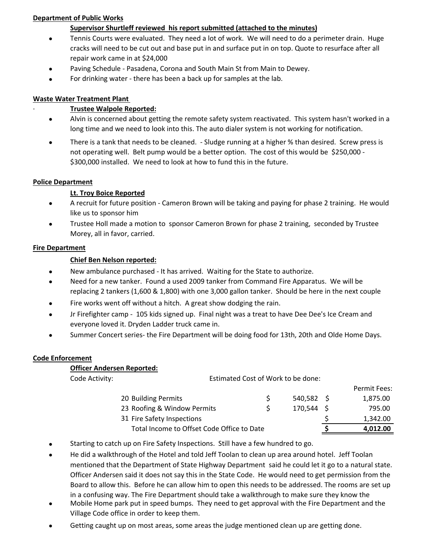## **Department of Public Works**

# **Supervisor Shurtleff reviewed his report submitted (attached to the minutes)**

- $\bullet$ Tennis Courts were evaluated. They need a lot of work. We will need to do a perimeter drain. Huge cracks will need to be cut out and base put in and surface put in on top. Quote to resurface after all repair work came in at \$24,000
- $\bullet$ Paving Schedule ‐ Pasadena, Corona and South Main St from Main to Dewey.
- $\bullet$ For drinking water ‐ there has been a back up for samples at the lab.

## **Waste Water Treatment Plant**

## ∙ **Trustee Walpole Reported:**

- $\bullet$ Alvin is concerned about getting the remote safety system reactivated. This system hasn't worked in a long time and we need to look into this. The auto dialer system is not working for notification.
- $\bullet$ There is a tank that needs to be cleaned. - Sludge running at a higher % than desired. Screw press is not operating well. Belt pump would be a better option. The cost of this would be \$250,000 -\$300,000 installed. We need to look at how to fund this in the future.

## **Police Department**

# **Lt. Troy Boice Reported**

- $\bullet$ A recruit for future position ‐ Cameron Brown will be taking and paying for phase 2 training. He would like us to sponsor him
- $\bullet$ Trustee Holl made a motion to sponsor Cameron Brown for phase 2 training, seconded by Trustee Morey, all in favor, carried.

## **Fire Department**

# **Chief Ben Nelson reported:**

- $\bullet$ New ambulance purchased ‐ It has arrived. Waiting for the State to authorize.
- $\bullet$ Need for a new tanker. Found a used 2009 tanker from Command Fire Apparatus. We will be replacing 2 tankers (1,600 & 1,800) with one 3,000 gallon tanker. Should be here in the next couple
- $\bullet$ Fire works went off without a hitch. A great show dodging the rain.
- $\bullet$ Jr Firefighter camp ‐ 105 kids signed up. Final night was a treat to have Dee Dee's Ice Cream and everyone loved it. Dryden Ladder truck came in.
- $\bullet$ Summer Concert series- the Fire Department will be doing food for 13th, 20th and Olde Home Days.

#### **Code Enforcement**

#### **Officer Andersen Reported:**

| Code Activity: |                                            | Estimated Cost of Work to be done: |              |              |
|----------------|--------------------------------------------|------------------------------------|--------------|--------------|
|                |                                            |                                    |              | Permit Fees: |
|                | 20 Building Permits                        |                                    | $540,582$ \$ | 1,875.00     |
|                | 23 Roofing & Window Permits                |                                    | $170,544$ \$ | 795.00       |
|                | 31 Fire Safety Inspections                 |                                    |              | 1,342.00     |
|                | Total Income to Offset Code Office to Date |                                    |              | 4,012.00     |

- $\bullet$ Starting to catch up on Fire Safety Inspections. Still have a few hundred to go.
- $\bullet$ He did a walkthrough of the Hotel and told Jeff Toolan to clean up area around hotel. Jeff Toolan mentioned that the Department of State Highway Department said he could let it go to a natural state. Officer Andersen said it does not say this in the State Code. He would need to get permission from the Board to allow this. Before he can allow him to open this needs to be addressed. The rooms are set up in a confusing way. The Fire Department should take a walkthrough to make sure they know the
- $\bullet$ Mobile Home park put in speed bumps. They need to get approval with the Fire Department and the Village Code office in order to keep them.
- $\bullet$ Getting caught up on most areas, some areas the judge mentioned clean up are getting done.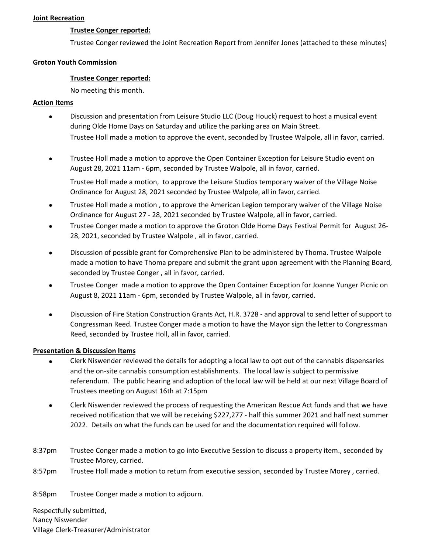#### **Joint Recreation**

#### **Trustee Conger reported:**

Trustee Conger reviewed the Joint Recreation Report from Jennifer Jones (attached to these minutes)

#### **Groton Youth Commission**

#### **Trustee Conger reported:**

No meeting this month.

#### **Action Items**

- $\bullet$ Discussion and presentation from Leisure Studio LLC (Doug Houck) request to host a musical event during Olde Home Days on Saturday and utilize the parking area on Main Street. Trustee Holl made a motion to approve the event, seconded by Trustee Walpole, all in favor, carried.
- $\bullet$ Trustee Holl made a motion to approve the Open Container Exception for Leisure Studio event on August 28, 2021 11am ‐ 6pm, seconded by Trustee Walpole, all in favor, carried.

Trustee Holl made a motion, to approve the Leisure Studios temporary waiver of the Village Noise Ordinance for August 28, 2021 seconded by Trustee Walpole, all in favor, carried.

- $\bullet$ Trustee Holl made a motion , to approve the American Legion temporary waiver of the Village Noise Ordinance for August 27 ‐ 28, 2021 seconded by Trustee Walpole, all in favor, carried.
- $\bullet$ Trustee Conger made a motion to approve the Groton Olde Home Days Festival Permit for August 26‐ 28, 2021, seconded by Trustee Walpole , all in favor, carried.
- $\bullet$ Discussion of possible grant for Comprehensive Plan to be administered by Thoma. Trustee Walpole made a motion to have Thoma prepare and submit the grant upon agreement with the Planning Board, seconded by Trustee Conger , all in favor, carried.
- $\bullet$ Trustee Conger made a motion to approve the Open Container Exception for Joanne Yunger Picnic on August 8, 2021 11am ‐ 6pm, seconded by Trustee Walpole, all in favor, carried.
- $\bullet$ Discussion of Fire Station Construction Grants Act, H.R. 3728 ‐ and approval to send letter of support to Congressman Reed. Trustee Conger made a motion to have the Mayor sign the letter to Congressman Reed, seconded by Trustee Holl, all in favor, carried.

#### **Presentation & Discussion Items**

- $\bullet$ Clerk Niswender reviewed the details for adopting a local law to opt out of the cannabis dispensaries and the on‐site cannabis consumption establishments. The local law is subject to permissive referendum. The public hearing and adoption of the local law will be held at our next Village Board of Trustees meeting on August 16th at 7:15pm
- $\bullet$ Clerk Niswender reviewed the process of requesting the American Rescue Act funds and that we have received notification that we will be receiving \$227,277 - half this summer 2021 and half next summer 2022. Details on what the funds can be used for and the documentation required will follow.
- 8:37pm Trustee Conger made a motion to go into Executive Session to discuss a property item., seconded by Trustee Morey, carried.
- 8:57pm Trustee Holl made a motion to return from executive session, seconded by Trustee Morey , carried.

8:58pm Trustee Conger made a motion to adjourn.

Respectfully submitted, Nancy Niswender Village Clerk‐Treasurer/Administrator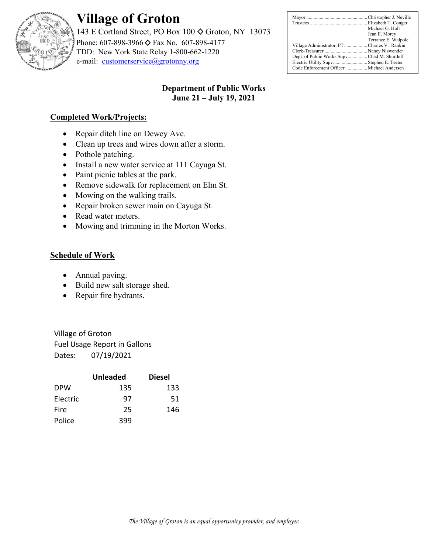

# **Village of Groton**

143 E Cortland Street, PO Box 100  $\diamond$  Groton, NY 13073 Phone: 607-898-3966 ♦ Fax No. 607-898-4177 TDD: New York State Relay 1-800-662-1220 e-mail: customerservice@grotonny.org

|                                              | Michael G. Holl     |
|----------------------------------------------|---------------------|
|                                              | Jean E. Morey       |
|                                              | Terrance E. Walpole |
| Village Administrator, PTCharles V. Rankin   |                     |
|                                              |                     |
| Dept. of Public Works Supv Chad M. Shurtleff |                     |
| Electric Utility Supv Stephen E. Teeter      |                     |
| Code Enforcement Officer  Michael Andersen   |                     |

# **Department of Public Works June 21 – July 19, 2021**

# **Completed Work/Projects:**

- Repair ditch line on Dewey Ave.
- Clean up trees and wires down after a storm.
- Pothole patching.
- Install a new water service at 111 Cayuga St.
- Paint picnic tables at the park.
- Remove sidewalk for replacement on Elm St.
- Mowing on the walking trails.
- Repair broken sewer main on Cayuga St.
- Read water meters.
- Mowing and trimming in the Morton Works.

# **Schedule of Work**

- Annual paving.
- Build new salt storage shed.
- Repair fire hydrants.

Village of Groton Fuel Usage Report in Gallons Dates: 07/19/2021

|            | <b>Unleaded</b> | <b>Diesel</b> |
|------------|-----------------|---------------|
| <b>DPW</b> | 135             | 133           |
| Electric   | 97              | 51            |
| Fire       | 25              | 146           |
| Police     | 399             |               |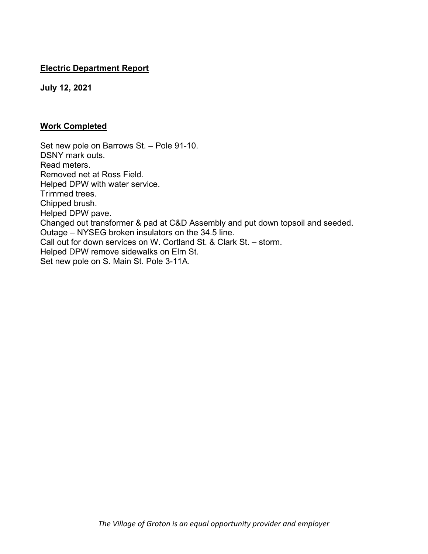# **Electric Department Report**

**July 12, 2021** 

# **Work Completed**

Set new pole on Barrows St. – Pole 91-10. DSNY mark outs. Read meters. Removed net at Ross Field. Helped DPW with water service. Trimmed trees. Chipped brush. Helped DPW pave. Changed out transformer & pad at C&D Assembly and put down topsoil and seeded. Outage – NYSEG broken insulators on the 34.5 line. Call out for down services on W. Cortland St. & Clark St. – storm. Helped DPW remove sidewalks on Elm St. Set new pole on S. Main St. Pole 3-11A.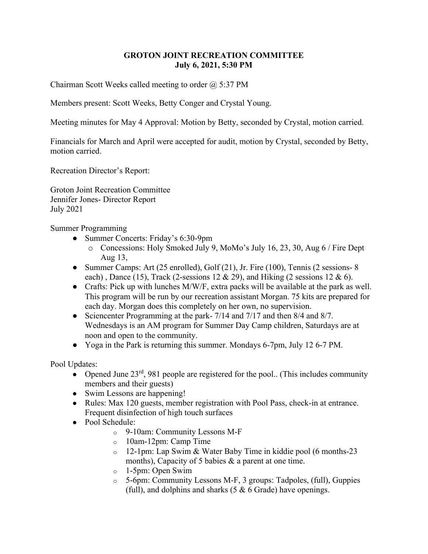# **GROTON JOINT RECREATION COMMITTEE July 6, 2021, 5:30 PM**

Chairman Scott Weeks called meeting to order  $(2, 5:37 \text{ PM})$ 

Members present: Scott Weeks, Betty Conger and Crystal Young.

Meeting minutes for May 4 Approval: Motion by Betty, seconded by Crystal, motion carried.

Financials for March and April were accepted for audit, motion by Crystal, seconded by Betty, motion carried.

Recreation Director's Report:

Groton Joint Recreation Committee Jennifer Jones- Director Report July 2021

Summer Programming

- Summer Concerts: Friday's 6:30-9pm
	- o Concessions: Holy Smoked July 9, MoMo's July 16, 23, 30, Aug 6 / Fire Dept Aug 13,
- Summer Camps: Art (25 enrolled), Golf (21), Jr. Fire (100), Tennis (2 sessions- 8 each), Dance (15), Track (2-sessions 12 & 29), and Hiking (2 sessions 12 & 6).
- Crafts: Pick up with lunches M/W/F, extra packs will be available at the park as well. This program will be run by our recreation assistant Morgan. 75 kits are prepared for each day. Morgan does this completely on her own, no supervision.
- Sciencenter Programming at the park- 7/14 and 7/17 and then 8/4 and 8/7. Wednesdays is an AM program for Summer Day Camp children, Saturdays are at noon and open to the community.
- Yoga in the Park is returning this summer. Mondays 6-7pm, July 12 6-7 PM.

Pool Updates:

- Opened June  $23<sup>rd</sup>$ , 981 people are registered for the pool.. (This includes community members and their guests)
- Swim Lessons are happening!
- Rules: Max 120 guests, member registration with Pool Pass, check-in at entrance. Frequent disinfection of high touch surfaces
- Pool Schedule:
	- o 9-10am: Community Lessons M-F
	- o 10am-12pm: Camp Time
	- o 12-1pm: Lap Swim & Water Baby Time in kiddie pool (6 months-23 months), Capacity of 5 babies & a parent at one time.
	- o 1-5pm: Open Swim
	- o 5-6pm: Community Lessons M-F, 3 groups: Tadpoles, (full), Guppies (full), and dolphins and sharks  $(5 \& 6 \text{ Grade})$  have openings.